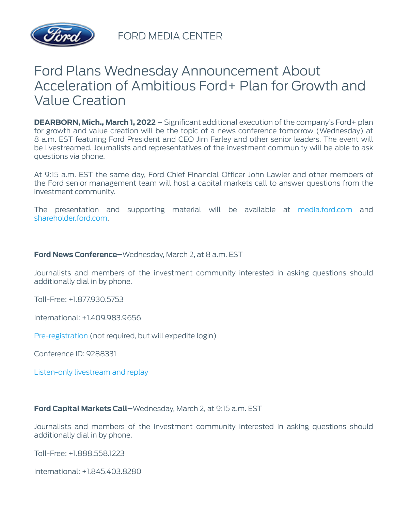

FORD MEDIA CENTER

## Ford Plans Wednesday Announcement About Acceleration of Ambitious Ford+ Plan for Growth and Value Creation

**DEARBORN, Mich., March 1, 2022** – Significant additional execution of the company's Ford+ plan for growth and value creation will be the topic of a news conference tomorrow (Wednesday) at 8 a.m. EST featuring Ford President and CEO Jim Farley and other senior leaders. The event will be livestreamed. Journalists and representatives of the investment community will be able to ask questions via phone.

At 9:15 a.m. EST the same day, Ford Chief Financial Officer John Lawler and other members of the Ford senior management team will host a capital markets call to answer questions from the investment community.

The presentation and supporting material will be available at [media.ford.com](https://media.ford.com/content/fordmedia/fna/us/en.html) and [shareholder.ford.com.](https://shareholder.ford.com/investors/overview/default.aspx)

## **Ford News Conference–**Wednesday, March 2, at 8 a.m. EST

Journalists and members of the investment community interested in asking questions should additionally dial in by phone.

Toll-Free: +1.877.930.5753

International: +1.409.983.9656

[Pre-registration](http://www.directeventreg.com/registration/event/9288331) (not required, but will expedite login)

Conference ID: 9288331

[Listen-only livestream and replay](https://services.choruscall.com/mediaframe/webcast.html?webcastid=g2tZXmVw)

## **Ford Capital Markets Call–**Wednesday, March 2, at 9:15 a.m. EST

Journalists and members of the investment community interested in asking questions should additionally dial in by phone.

Toll-Free: +1.888.558.1223

International: +1.845.403.8280